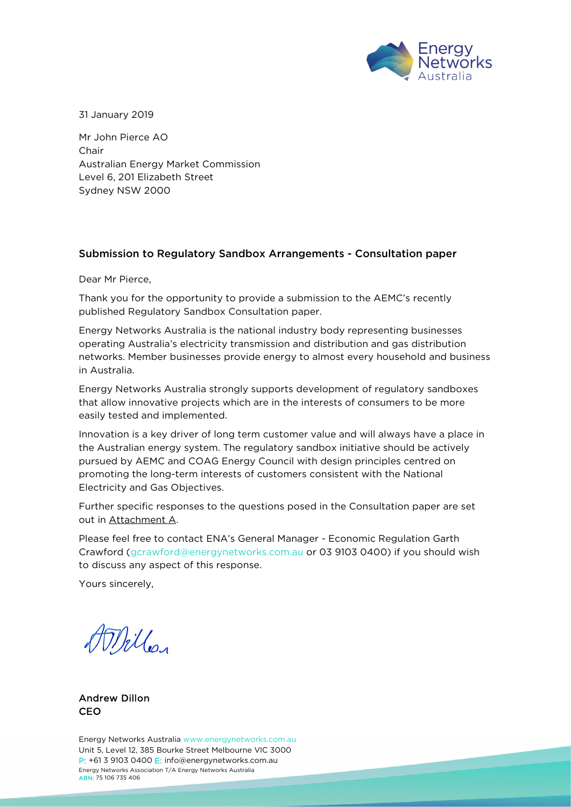

31 January 2019

Mr John Pierce AO Chair Australian Energy Market Commission Level 6, 201 Elizabeth Street Sydney NSW 2000

## Submission to Regulatory Sandbox Arrangements - Consultation paper

Dear Mr Pierce,

Thank you for the opportunity to provide a submission to the AEMC's recently published Regulatory Sandbox Consultation paper.

Energy Networks Australia is the national industry body representing businesses operating Australia's electricity transmission and distribution and gas distribution networks. Member businesses provide energy to almost every household and business in Australia.

Energy Networks Australia strongly supports development of regulatory sandboxes that allow innovative projects which are in the interests of consumers to be more easily tested and implemented.

Innovation is a key driver of long term customer value and will always have a place in the Australian energy system. The regulatory sandbox initiative should be actively pursued by AEMC and COAG Energy Council with design principles centred on promoting the long-term interests of customers consistent with the National Electricity and Gas Objectives.

Further specific responses to the questions posed in the Consultation paper are set out in Attachment A.

Please feel free to contact ENA's General Manager - Economic Regulation Garth Crawford [\(gcrawford@energynetworks.com.au](mailto:gcrawford@energynetworks.com.au) or 03 9103 0400) if you should wish to discuss any aspect of this response.

Yours sincerely,

Willer

Andrew Dillon CEO

Energy Networks Australia [www.energynetworks.com.au](http://www.energynetworks.com.au/) Unit 5, Level 12, 385 Bourke Street Melbourne VIC 3000 P: +61 3 9103 0400 E: [info@energynetworks.com.au](mailto:info@energynetworks.com.au) Energy Networks Association T/A Energy Networks Australia ABN: 75 106 735 406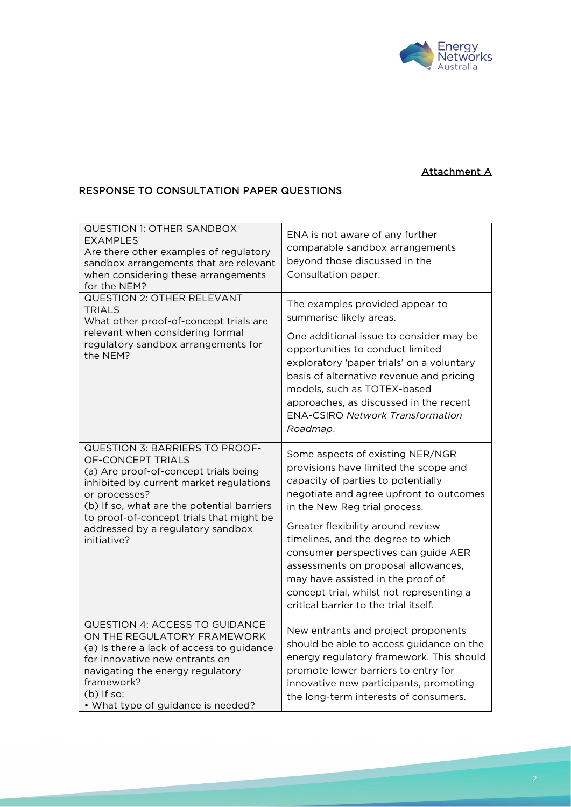

## Attachment A

## RESPONSE TO CONSULTATION PAPER QUESTIONS

| <b>QUESTION 1: OTHER SANDBOX</b><br>EXAMPLES<br>Are there other examples of regulatory<br>sandbox arrangements that are relevant<br>when considering these arrangements<br>for the NEM?                                                                                                                | ENA is not aware of any further<br>comparable sandbox arrangements<br>beyond those discussed in the<br>Consultation paper.                                                                                                                                                                                                                                                                                                                                                     |
|--------------------------------------------------------------------------------------------------------------------------------------------------------------------------------------------------------------------------------------------------------------------------------------------------------|--------------------------------------------------------------------------------------------------------------------------------------------------------------------------------------------------------------------------------------------------------------------------------------------------------------------------------------------------------------------------------------------------------------------------------------------------------------------------------|
| QUESTION 2: OTHER RELEVANT<br><b>TRIALS</b><br>What other proof-of-concept trials are<br>relevant when considering formal<br>regulatory sandbox arrangements for<br>the NEM?                                                                                                                           | The examples provided appear to<br>summarise likely areas.<br>One additional issue to consider may be<br>opportunities to conduct limited<br>exploratory 'paper trials' on a voluntary<br>basis of alternative revenue and pricing<br>models, such as TOTEX-based<br>approaches, as discussed in the recent<br><b>ENA-CSIRO Network Transformation</b><br>Roadmap.                                                                                                             |
| QUESTION 3: BARRIERS TO PROOF-<br>OF-CONCEPT TRIALS<br>(a) Are proof-of-concept trials being<br>inhibited by current market regulations<br>or processes?<br>(b) If so, what are the potential barriers<br>to proof-of-concept trials that might be<br>addressed by a regulatory sandbox<br>initiative? | Some aspects of existing NER/NGR<br>provisions have limited the scope and<br>capacity of parties to potentially<br>negotiate and agree upfront to outcomes<br>in the New Reg trial process.<br>Greater flexibility around review<br>timelines, and the degree to which<br>consumer perspectives can guide AER<br>assessments on proposal allowances,<br>may have assisted in the proof of<br>concept trial, whilst not representing a<br>critical barrier to the trial itself. |
| <b>QUESTION 4: ACCESS TO GUIDANCE</b><br>ON THE REGULATORY FRAMEWORK<br>(a) Is there a lack of access to guidance<br>for innovative new entrants on<br>navigating the energy regulatory<br>framework?<br>$(b)$ If so:<br>• What type of guidance is needed?                                            | New entrants and project proponents<br>should be able to access guidance on the<br>energy regulatory framework. This should<br>promote lower barriers to entry for<br>innovative new participants, promoting<br>the long-term interests of consumers.                                                                                                                                                                                                                          |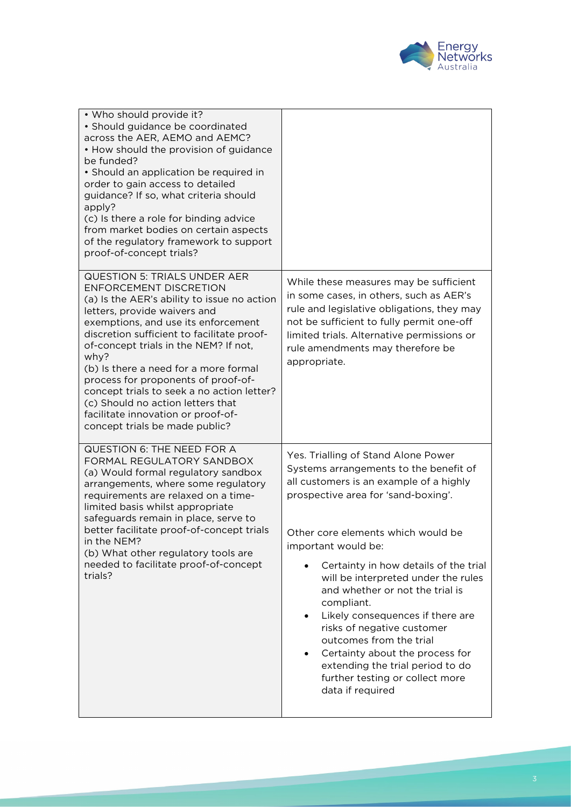

| • Who should provide it?<br>· Should guidance be coordinated<br>across the AER, AEMO and AEMC?<br>• How should the provision of guidance<br>be funded?<br>• Should an application be required in<br>order to gain access to detailed<br>guidance? If so, what criteria should<br>apply?<br>(c) Is there a role for binding advice<br>from market bodies on certain aspects<br>of the regulatory framework to support<br>proof-of-concept trials?                                                                                     |                                                                                                                                                                                                                                                                                                                                                                                                                                                                                                                                                                                                                    |
|--------------------------------------------------------------------------------------------------------------------------------------------------------------------------------------------------------------------------------------------------------------------------------------------------------------------------------------------------------------------------------------------------------------------------------------------------------------------------------------------------------------------------------------|--------------------------------------------------------------------------------------------------------------------------------------------------------------------------------------------------------------------------------------------------------------------------------------------------------------------------------------------------------------------------------------------------------------------------------------------------------------------------------------------------------------------------------------------------------------------------------------------------------------------|
| <b>QUESTION 5: TRIALS UNDER AER</b><br><b>ENFORCEMENT DISCRETION</b><br>(a) Is the AER's ability to issue no action<br>letters, provide waivers and<br>exemptions, and use its enforcement<br>discretion sufficient to facilitate proof-<br>of-concept trials in the NEM? If not,<br>why?<br>(b) Is there a need for a more formal<br>process for proponents of proof-of-<br>concept trials to seek a no action letter?<br>(c) Should no action letters that<br>facilitate innovation or proof-of-<br>concept trials be made public? | While these measures may be sufficient<br>in some cases, in others, such as AER's<br>rule and legislative obligations, they may<br>not be sufficient to fully permit one-off<br>limited trials. Alternative permissions or<br>rule amendments may therefore be<br>appropriate.                                                                                                                                                                                                                                                                                                                                     |
| QUESTION 6: THE NEED FOR A<br>FORMAL REGULATORY SANDBOX<br>(a) Would formal regulatory sandbox<br>arrangements, where some regulatory<br>requirements are relaxed on a time-<br>limited basis whilst appropriate<br>safeguards remain in place, serve to<br>better facilitate proof-of-concept trials<br>in the NEM?<br>(b) What other regulatory tools are<br>needed to facilitate proof-of-concept<br>trials?                                                                                                                      | Yes. Trialling of Stand Alone Power<br>Systems arrangements to the benefit of<br>all customers is an example of a highly<br>prospective area for 'sand-boxing'.<br>Other core elements which would be<br>important would be:<br>Certainty in how details of the trial<br>will be interpreted under the rules<br>and whether or not the trial is<br>compliant.<br>Likely consequences if there are<br>$\bullet$<br>risks of negative customer<br>outcomes from the trial<br>Certainty about the process for<br>$\bullet$<br>extending the trial period to do<br>further testing or collect more<br>data if required |

**Contract Contract Contract**